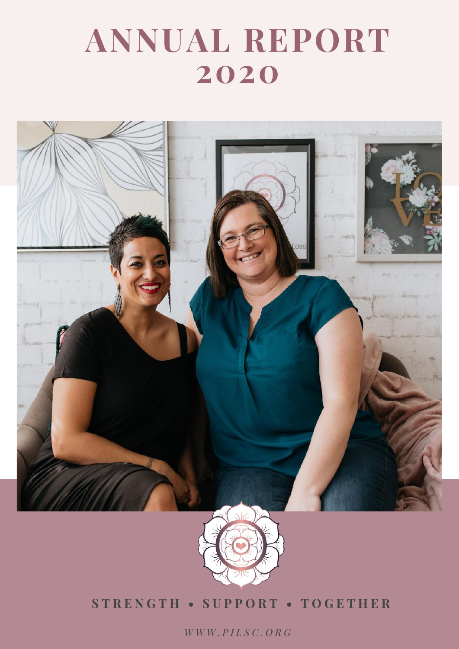### **ANNUAL REPORT 2020**





#### **S T R E N G T H • S U P P O R T • T O G E T H E R**

*W W W . P I L S C . O R G*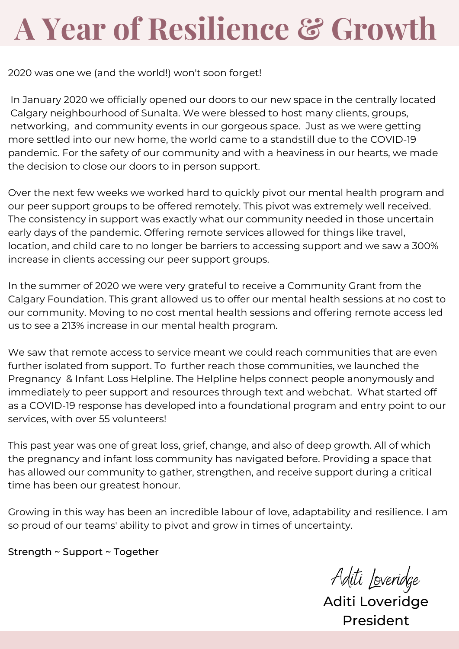## **A Year of Resilience & Growth**

2020 was one we (and the world!) won't soon forget!

In January 2020 we officially opened our doors to our new space in the centrally located Calgary neighbourhood of Sunalta. We were blessed to host many clients, groups, networking, and community events in our gorgeous space. Just as we were getting more settled into our new home, the world came to a standstill due to the COVID-19 pandemic. For the safety of our community and with a heaviness in our hearts, we made the decision to close our doors to in person support.

Over the next few weeks we worked hard to quickly pivot our mental health program and our peer support groups to be offered remotely. This pivot was extremely well received. The consistency in support was exactly what our community needed in those uncertain early days of the pandemic. Offering remote services allowed for things like travel, location, and child care to no longer be barriers to accessing support and we saw a 300% increase in clients accessing our peer support groups.

In the summer of 2020 we were very grateful to receive a Community Grant from the Calgary Foundation. This grant allowed us to offer our mental health sessions at no cost to our community. Moving to no cost mental health sessions and offering remote access led us to see a 213% increase in our mental health program.

We saw that remote access to service meant we could reach communities that are even further isolated from support. To further reach those communities, we launched the Pregnancy & Infant Loss Helpline. The Helpline helps connect people anonymously and immediately to peer support and resources through text and webchat. What started off as a COVID-19 response has developed into a foundational program and entry point to our services, with over 55 volunteers!

This past year was one of great loss, grief, change, and also of deep growth. All of which the pregnancy and infant loss community has navigated before. Providing a space that has allowed our community to gather, strengthen, and receive support during a critical time has been our greatest honour.

Growing in this way has been an incredible labour of love, adaptability and resilience. I am so proud of our teams' ability to pivot and grow in times of uncertainty.

Strength ~ Support ~ Together

Aditi Loveridge

Aditi Loveridge President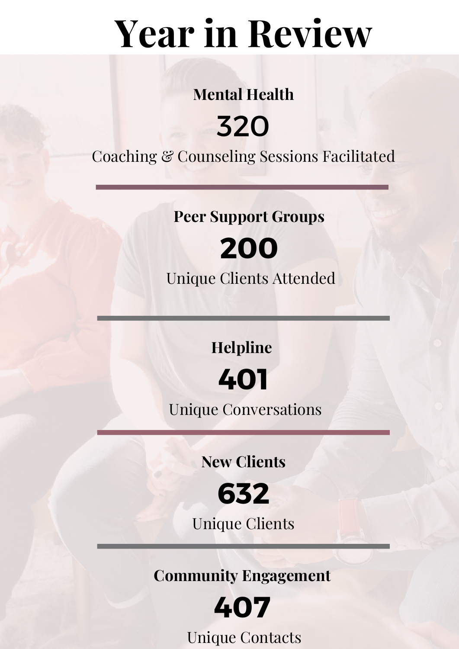# **Year in Review**

### **Mental Health**

### 320 Coaching & Counseling Sessions Facilitated

**Peer Support Groups**

### **200**

Unique Clients Attended

**Helpline**



Unique Conversations

**New Clients**



Unique Clients

**Community Engagement**



Unique Contacts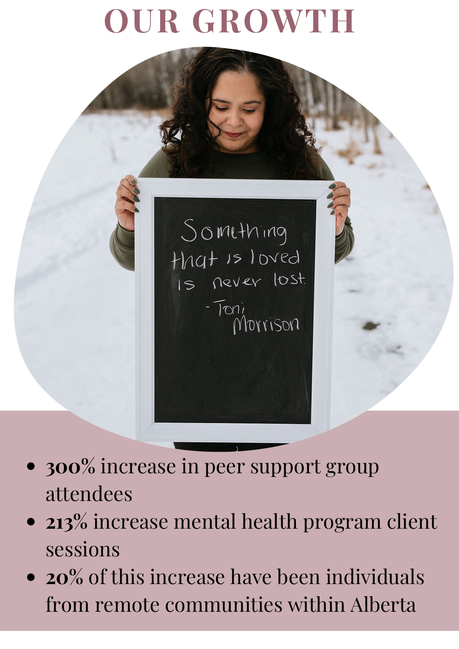## **OUR GROWTH**



Something that is loved  $-Ton_{l}$ Morrison

- **300%** increase in peer support group attendees
- **213%** increase mental health program client sessions
- **20%** of this increase have been individuals from remote communities within Alberta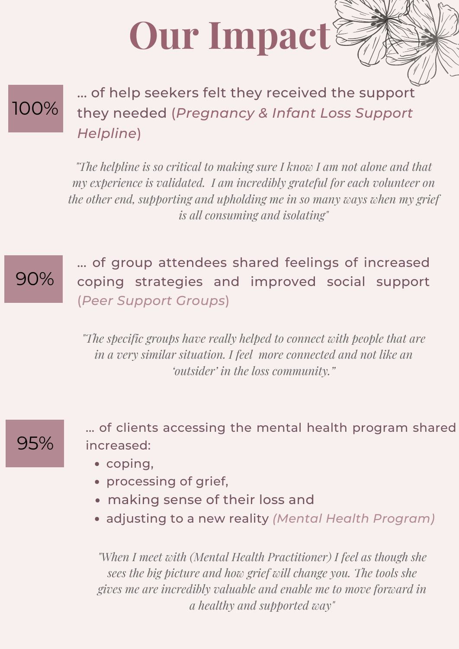# **Our Impact**

### 100%

... of help seekers felt they received the support they needed (*Pregnancy & Infant Loss Support Helpline*)

*"The helpline is so critical to making sure I know I am not alone and that my experience is validated. I am incredibly grateful for each volunteer on the other end, supporting and upholding me in so many ways when my grief is all consuming and isolating"*

#### 90%

... of group attendees shared feelings of increased coping strategies and improved social support (*Peer Support Groups*)

*"The specific groups have really helped to connect with people that are in a very similar situation. I feel more connected and not like an 'outsider' in the loss community."*

#### 95%

... of clients accessing the mental health program shared increased:

- coping,
- processing of grief,
- making sense of their loss and
- adjusting to a new reality *(Mental Health Program)*

*"When I meet with (Mental Health Practitioner) I feel as though she sees the big picture and how grief will change you. The tools she gives me are incredibly valuable and enable me to move forward in a healthy and supported way"*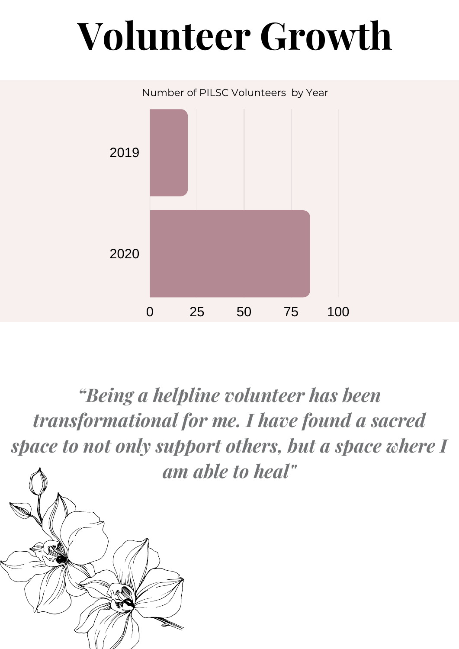# **Volunteer Growth**



*"Being a helpline volunteer has been transformational for me. I have found a sacred space to not only support others, but a space where I am able to heal"*

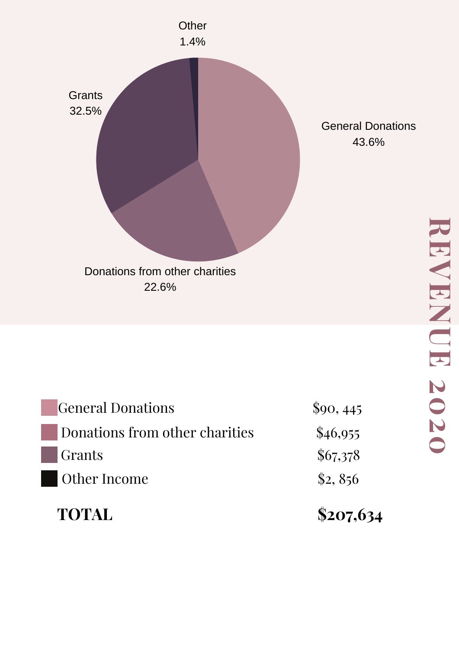

General Donations 43.6%

| <b>TOTAL</b>                   | \$207,634  |
|--------------------------------|------------|
| Other Income                   | \$2,856    |
| Grants                         | \$67,378   |
| Donations from other charities | \$46,955   |
| <b>General Donations</b>       | $\$90,445$ |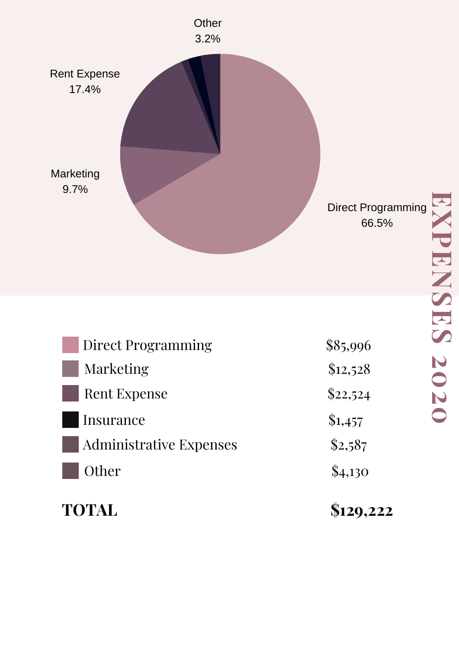

| TOTAL                          | \$129,222 |
|--------------------------------|-----------|
| Other                          | \$4,130   |
| <b>Administrative Expenses</b> | \$2,587   |
| Insurance                      | \$1,457   |
| Rent Expense                   | \$22,524  |
| Marketing                      | \$12,528  |
| <b>Direct Programming</b>      | \$85,996  |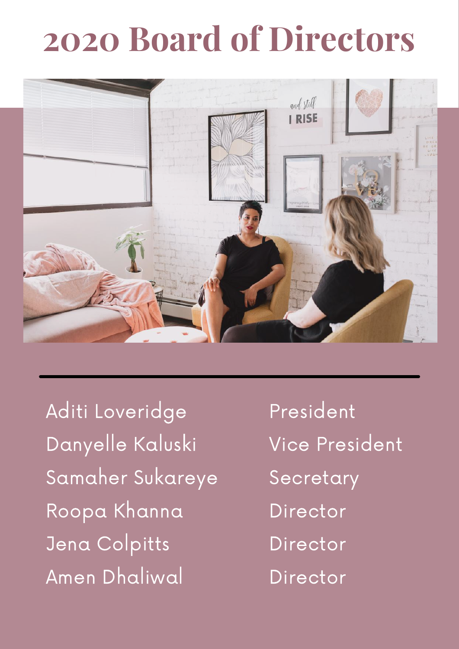## **2020 Board of Directors**



Aditi Loveridge Danyelle Kaluski Samaher Sukareye Roopa Khanna Jena Colpitts Amen Dhaliwal

President Vice President Secretary Director Director Director